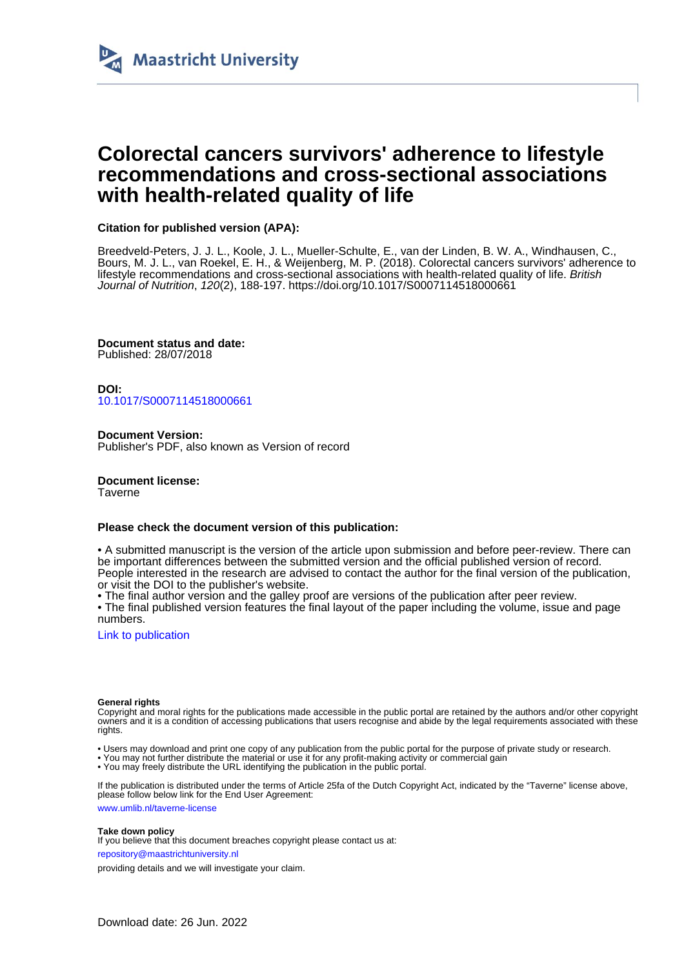

# **Colorectal cancers survivors' adherence to lifestyle recommendations and cross-sectional associations with health-related quality of life**

# **Citation for published version (APA):**

Breedveld-Peters, J. J. L., Koole, J. L., Mueller-Schulte, E., van der Linden, B. W. A., Windhausen, C., Bours, M. J. L., van Roekel, E. H., & Weijenberg, M. P. (2018). Colorectal cancers survivors' adherence to lifestyle recommendations and cross-sectional associations with health-related quality of life. British Journal of Nutrition, 120(2), 188-197.<https://doi.org/10.1017/S0007114518000661>

**Document status and date:** Published: 28/07/2018

**DOI:** [10.1017/S0007114518000661](https://doi.org/10.1017/S0007114518000661)

**Document Version:** Publisher's PDF, also known as Version of record

**Document license:** Taverne

# **Please check the document version of this publication:**

• A submitted manuscript is the version of the article upon submission and before peer-review. There can be important differences between the submitted version and the official published version of record. People interested in the research are advised to contact the author for the final version of the publication, or visit the DOI to the publisher's website.

• The final author version and the galley proof are versions of the publication after peer review.

• The final published version features the final layout of the paper including the volume, issue and page numbers.

[Link to publication](https://cris.maastrichtuniversity.nl/en/publications/98d5ba87-108e-4c45-9ad2-a51856ba3ccb)

#### **General rights**

Copyright and moral rights for the publications made accessible in the public portal are retained by the authors and/or other copyright owners and it is a condition of accessing publications that users recognise and abide by the legal requirements associated with these rights.

• Users may download and print one copy of any publication from the public portal for the purpose of private study or research.

• You may not further distribute the material or use it for any profit-making activity or commercial gain

• You may freely distribute the URL identifying the publication in the public portal

If the publication is distributed under the terms of Article 25fa of the Dutch Copyright Act, indicated by the "Taverne" license above, please follow below link for the End User Agreement:

www.umlib.nl/taverne-license

#### **Take down policy**

If you believe that this document breaches copyright please contact us at:

repository@maastrichtuniversity.nl

providing details and we will investigate your claim.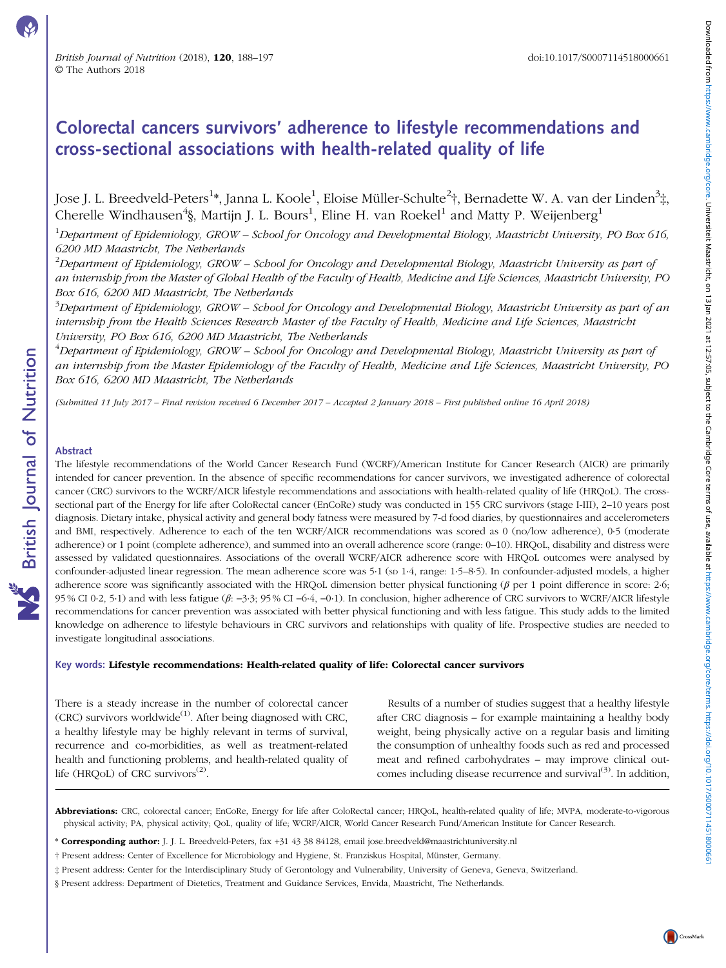# Colorectal cancers survivors' adherence to lifestyle recommendations and cross-sectional associations with health-related quality of life

Jose J. L. Breedveld-Peters<sup>1</sup>\*, Janna L. Koole<sup>1</sup>, Eloise Müller-Schulte<sup>2</sup>†, Bernadette W. A. van der Linden<sup>3</sup>‡, Cherelle Windhausen $^4$ §, Martijn J. L. Bours $^1$ , Eline H. van Roekel $^1$  and Matty P. Weijenberg $^1$ 

 $^1$ Department of Epidemiology, GROW – School for Oncology and Developmental Biology, Maastricht University, PO Box 616, 6200 MD Maastricht, The Netherlands

 $^2$ Department of Epidemiology, GROW – School for Oncology and Developmental Biology, Maastricht University as part oj an internship from the Master of Global Health of the Faculty of Health, Medicine and Life Sciences, Maastricht University, PO Box 616, 6200 MD Maastricht, The Netherlands

 $^3$ Department of Epidemiology, GROW – School for Oncology and Developmental Biology, Maastricht University as part of an internship from the Health Sciences Research Master of the Faculty of Health, Medicine and Life Sciences, Maastricht University, PO Box 616, 6200 MD Maastricht, The Netherlands

 $^4$ Department of Epidemiology, GROW – School for Oncology and Developmental Biology, Maastricht University as part oj an internship from the Master Epidemiology of the Faculty of Health, Medicine and Life Sciences, Maastricht University, PO Box 616, 6200 MD Maastricht, The Netherlands

(Submitted 11 July 2017 – Final revision received 6 December 2017 – Accepted 2 January 2018 – First published online 16 April 2018)

#### Abstract

**NS** British Journal of Nutrition

The lifestyle recommendations of the World Cancer Research Fund (WCRF)/American Institute for Cancer Research (AICR) are primarily intended for cancer prevention. In the absence of specific recommendations for cancer survivors, we investigated adherence of colorectal cancer (CRC) survivors to the WCRF/AICR lifestyle recommendations and associations with health-related quality of life (HRQoL). The crosssectional part of the Energy for life after ColoRectal cancer (EnCoRe) study was conducted in 155 CRC survivors (stage I-III), 2–10 years post diagnosis. Dietary intake, physical activity and general body fatness were measured by 7-d food diaries, by questionnaires and accelerometers and BMI, respectively. Adherence to each of the ten WCRF/AICR recommendations was scored as 0 (no/low adherence), 0·5 (moderate adherence) or 1 point (complete adherence), and summed into an overall adherence score (range: 0–10). HRQoL, disability and distress were assessed by validated questionnaires. Associations of the overall WCRF/AICR adherence score with HRQoL outcomes were analysed by confounder-adjusted linear regression. The mean adherence score was  $5.1$  (sp  $1.4$ , range:  $1.5-8.5$ ). In confounder-adjusted models, a higher adherence score was significantly associated with the HRQoL dimension better physical functioning (β per 1 point difference in score: 2·6; 95 % CI 0·2, 5·1) and with less fatigue (β: −3·3; 95 % CI −6·4, −0·1). In conclusion, higher adherence of CRC survivors to WCRF/AICR lifestyle recommendations for cancer prevention was associated with better physical functioning and with less fatigue. This study adds to the limited knowledge on adherence to lifestyle behaviours in CRC survivors and relationships with quality of life. Prospective studies are needed to investigate longitudinal associations.

#### Key words: Lifestyle recommendations: Health-related quality of life: Colorectal cancer survivors

There is a steady increase in the number of colorectal cancer  $(CRC)$  survivors worldwide<sup>[\(1\)](#page-9-0)</sup>. After being diagnosed with CRC, a healthy lifestyle may be highly relevant in terms of survival, recurrence and co-morbidities, as well as treatment-related health and functioning problems, and health-related quality of life (HRQoL) of CRC survivors $^{(2)}$  $^{(2)}$  $^{(2)}$ .

Results of a number of studies suggest that a healthy lifestyle after CRC diagnosis – for example maintaining a healthy body weight, being physically active on a regular basis and limiting the consumption of unhealthy foods such as red and processed meat and refined carbohydrates – may improve clinical out-comes including disease recurrence and survival<sup>[\(3\)](#page-9-0)</sup>. In addition,

Abbreviations: CRC, colorectal cancer; EnCoRe, Energy for life after ColoRectal cancer; HRQoL, health-related quality of life; MVPA, moderate-to-vigorous physical activity; PA, physical activity; QoL, quality of life; WCRF/AICR, World Cancer Research Fund/American Institute for Cancer Research.

- \* Corresponding author: J. J. L. Breedveld-Peters, fax +31 43 38 84128, email [jose.breedveld@maastrichtuniversity.nl](mailto:jose.breedveld@maastrichtuniversity.nl)
- † Present address: Center of Excellence for Microbiology and Hygiene, St. Franziskus Hospital, Münster, Germany.
- ‡ Present address: Center for the Interdisciplinary Study of Gerontology and Vulnerability, University of Geneva, Geneva, Switzerland.
- § Present address: Department of Dietetics, Treatment and Guidance Services, Envida, Maastricht, The Netherlands.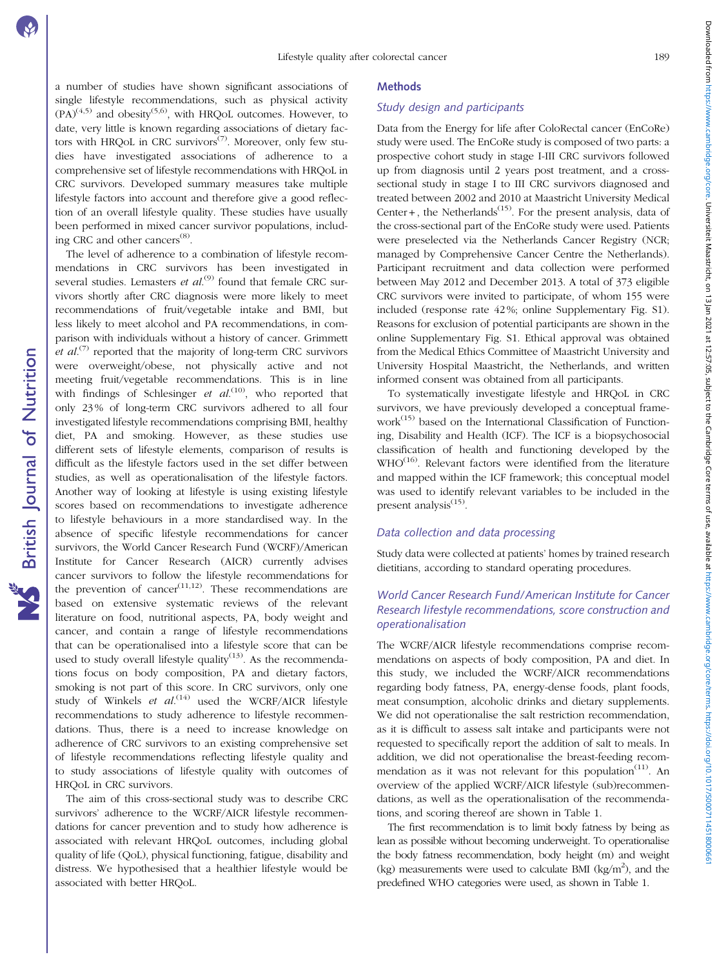a number of studies have shown significant associations of single lifestyle recommendations, such as physical activity  $(PA)^{(4,5)}$  $(PA)^{(4,5)}$  $(PA)^{(4,5)}$  $(PA)^{(4,5)}$  $(PA)^{(4,5)}$  and obesity<sup>[\(5,6\)](#page-9-0)</sup>, with HRQoL outcomes. However, to date, very little is known regarding associations of dietary fac-tors with HRQoL in CRC survivors<sup>([7](#page-9-0))</sup>. Moreover, only few studies have investigated associations of adherence to a comprehensive set of lifestyle recommendations with HRQoL in CRC survivors. Developed summary measures take multiple lifestyle factors into account and therefore give a good reflection of an overall lifestyle quality. These studies have usually been performed in mixed cancer survivor populations, includ-ing CRC and other cancers<sup>[\(8](#page-9-0))</sup>.

The level of adherence to a combination of lifestyle recommendations in CRC survivors has been investigated in several studies. Lemasters et  $al^{(9)}$  $al^{(9)}$  $al^{(9)}$  found that female CRC survivors shortly after CRC diagnosis were more likely to meet recommendations of fruit/vegetable intake and BMI, but less likely to meet alcohol and PA recommendations, in comparison with individuals without a history of cancer. Grimmett et  $al^{(7)}$  $al^{(7)}$  $al^{(7)}$  reported that the majority of long-term CRC survivors were overweight/obese, not physically active and not meeting fruit/vegetable recommendations. This is in line with findings of Schlesinger et  $al^{(10)}$  $al^{(10)}$  $al^{(10)}$ , who reported that only 23 % of long-term CRC survivors adhered to all four investigated lifestyle recommendations comprising BMI, healthy diet, PA and smoking. However, as these studies use different sets of lifestyle elements, comparison of results is difficult as the lifestyle factors used in the set differ between studies, as well as operationalisation of the lifestyle factors. Another way of looking at lifestyle is using existing lifestyle scores based on recommendations to investigate adherence to lifestyle behaviours in a more standardised way. In the absence of specific lifestyle recommendations for cancer survivors, the World Cancer Research Fund (WCRF)/American Institute for Cancer Research (AICR) currently advises cancer survivors to follow the lifestyle recommendations for the prevention of cancer<sup>[\(11,12](#page-9-0))</sup>. These recommendations are based on extensive systematic reviews of the relevant literature on food, nutritional aspects, PA, body weight and cancer, and contain a range of lifestyle recommendations that can be operationalised into a lifestyle score that can be used to study overall lifestyle quality $(13)$ . As the recommendations focus on body composition, PA and dietary factors, smoking is not part of this score. In CRC survivors, only one study of Winkels et al.<sup>([14\)](#page-10-0)</sup> used the WCRF/AICR lifestyle recommendations to study adherence to lifestyle recommendations. Thus, there is a need to increase knowledge on adherence of CRC survivors to an existing comprehensive set of lifestyle recommendations reflecting lifestyle quality and to study associations of lifestyle quality with outcomes of HRQoL in CRC survivors.

**NS** British Journal of Nutrition

The aim of this cross-sectional study was to describe CRC survivors' adherence to the WCRF/AICR lifestyle recommendations for cancer prevention and to study how adherence is associated with relevant HRQoL outcomes, including global quality of life (QoL), physical functioning, fatigue, disability and distress. We hypothesised that a healthier lifestyle would be associated with better HRQoL.

#### **Methods**

### Study design and participants

Data from the Energy for life after ColoRectal cancer (EnCoRe) study were used. The EnCoRe study is composed of two parts: a prospective cohort study in stage I-III CRC survivors followed up from diagnosis until 2 years post treatment, and a crosssectional study in stage I to III CRC survivors diagnosed and treated between 2002 and 2010 at Maastricht University Medical Center +, the Netherlands<sup> $(15)$  $(15)$  $(15)$ </sup>. For the present analysis, data of the cross-sectional part of the EnCoRe study were used. Patients were preselected via the Netherlands Cancer Registry (NCR; managed by Comprehensive Cancer Centre the Netherlands). Participant recruitment and data collection were performed between May 2012 and December 2013. A total of 373 eligible CRC survivors were invited to participate, of whom 155 were included (response rate 42 %; online Supplementary Fig. S1). Reasons for exclusion of potential participants are shown in the online Supplementary Fig. S1. Ethical approval was obtained from the Medical Ethics Committee of Maastricht University and University Hospital Maastricht, the Netherlands, and written informed consent was obtained from all participants.

To systematically investigate lifestyle and HRQoL in CRC survivors, we have previously developed a conceptual frame- $work^{(15)}$  $work^{(15)}$  $work^{(15)}$  based on the International Classification of Functioning, Disability and Health (ICF). The ICF is a biopsychosocial classification of health and functioning developed by the  $WHO^{(16)}$  $WHO^{(16)}$  $WHO^{(16)}$ . Relevant factors were identified from the literature and mapped within the ICF framework; this conceptual model was used to identify relevant variables to be included in the present analysis<sup>[\(15](#page-10-0))</sup>.

# Data collection and data processing

Study data were collected at patients' homes by trained research dietitians, according to standard operating procedures.

# World Cancer Research Fund/American Institute for Cancer Research lifestyle recommendations, score construction and operationalisation

The WCRF/AICR lifestyle recommendations comprise recommendations on aspects of body composition, PA and diet. In this study, we included the WCRF/AICR recommendations regarding body fatness, PA, energy-dense foods, plant foods, meat consumption, alcoholic drinks and dietary supplements. We did not operationalise the salt restriction recommendation, as it is difficult to assess salt intake and participants were not requested to specifically report the addition of salt to meals. In addition, we did not operationalise the breast-feeding recom-mendation as it was not relevant for this population<sup>([11\)](#page-9-0)</sup>. An overview of the applied WCRF/AICR lifestyle (sub)recommendations, as well as the operationalisation of the recommendations, and scoring thereof are shown in [Table 1.](#page-3-0)

The first recommendation is to limit body fatness by being as lean as possible without becoming underweight. To operationalise the body fatness recommendation, body height (m) and weight (kg) measurements were used to calculate BMI ( $kg/m<sup>2</sup>$ ), and the predefined WHO categories were used, as shown in [Table 1.](#page-3-0)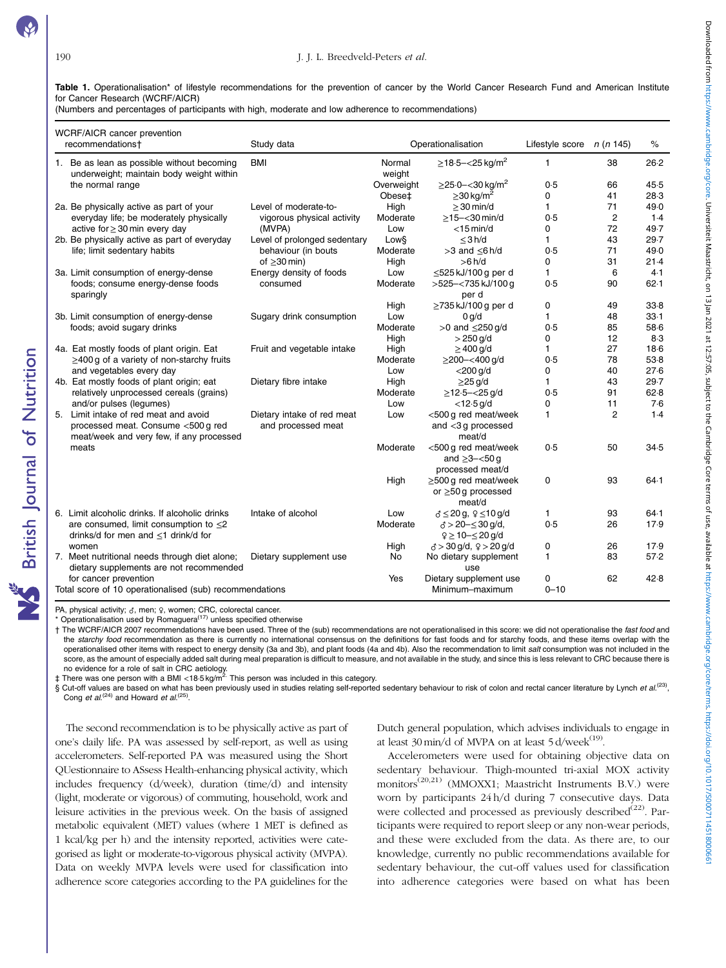**NS** British Journal of Nutrition

#### <span id="page-3-0"></span>190 J. J. L. Breedveld-Peters et al.

Downloaded from https://www.cambridge.org/core. Universiteit Maastricht, on 13Jan 2021 at 12:5705, subject to the Cambridge Core terms of use, available at https://www.cambridge.org/core/terms. https://ds1800066/1451800066 Downloaded from https://www.cambridge.org/core. Unwerstett Massigles 11:57:05, subject to the Cambridge Core terms of use, available at https://www.cambridge.org/core/terms. https://doi.1017/5000/711451800060

Table 1. Operationalisation\* of lifestyle recommendations for the prevention of cancer by the World Cancer Research Fund and American Institute for Cancer Research (WCRF/AICR)

(Numbers and percentages of participants with high, moderate and low adherence to recommendations)

| recommendations+                                                                                                        | Study data                                       |                    | Operationalisation                                                 | Lifestyle score | n(n 145)       | $\%$ |
|-------------------------------------------------------------------------------------------------------------------------|--------------------------------------------------|--------------------|--------------------------------------------------------------------|-----------------|----------------|------|
| 1. Be as lean as possible without becoming<br>underweight; maintain body weight within                                  | BMI                                              | Normal<br>weight   | $\ge$ 18.5-<25 kg/m <sup>2</sup>                                   | 1               | 38             | 26.2 |
| the normal range                                                                                                        |                                                  | Overweight         | $\geq$ 25.0-<30 kg/m <sup>2</sup>                                  | 0.5             | 66             | 45.5 |
|                                                                                                                         |                                                  | Obese <sup>+</sup> | $\geq$ 30 kg/m <sup>2</sup>                                        | 0               | 41             | 28.3 |
| 2a. Be physically active as part of your                                                                                | Level of moderate-to-                            | High               | $>30$ min/d                                                        | 1               | 71             | 49.0 |
| everyday life; be moderately physically                                                                                 | vigorous physical activity                       | Moderate           | $\geq$ 15-<30 min/d                                                | 0.5             | $\overline{2}$ | 1.4  |
| active for $\geq$ 30 min every day                                                                                      | (MVPA)                                           | Low                | $<$ 15 min/d                                                       | 0               | 72             | 49.7 |
| 2b. Be physically active as part of everyday                                                                            | Level of prolonged sedentary                     | Low§               | $\leq$ 3 h/d                                                       | 1               | 43             | 29.7 |
| life; limit sedentary habits                                                                                            | behaviour (in bouts                              | Moderate           | $>3$ and $\leq 6$ h/d                                              | 0.5             | 71             | 49.0 |
|                                                                                                                         | of $\geq$ 30 min)                                | High               | >6 h/d                                                             | 0               | 31             | 21.4 |
| 3a. Limit consumption of energy-dense                                                                                   | Energy density of foods                          | Low                | ≤525 kJ/100 g per d                                                | 1               | 6              | 4.1  |
| foods; consume energy-dense foods<br>sparingly                                                                          | consumed                                         | Moderate           | >525-<735 kJ/100 g<br>per d                                        | 0.5             | 90             | 62.1 |
|                                                                                                                         |                                                  | High               | ≥735 kJ/100 g per d                                                | 0               | 49             | 33.8 |
| 3b. Limit consumption of energy-dense                                                                                   | Sugary drink consumption                         | Low                | 0 g/d                                                              | 1               | 48             | 33.1 |
| foods; avoid sugary drinks                                                                                              |                                                  | Moderate           | $>0$ and $\leq$ 250 g/d                                            | 0.5             | 85             | 58.6 |
|                                                                                                                         |                                                  | High               | $>250$ g/d                                                         | 0               | 12             | 8.3  |
| 4a. Eat mostly foods of plant origin. Eat                                                                               | Fruit and vegetable intake                       | High               | $\geq$ 400 g/d                                                     | 1               | 27             | 18.6 |
| $\geq$ 400 g of a variety of non-starchy fruits                                                                         |                                                  | Moderate           | $\geq$ 200-<400 g/d                                                | 0.5             | 78             | 53.8 |
| and vegetables every day                                                                                                |                                                  | Low                | $<$ 200 g/d                                                        | 0               | 40             | 27.6 |
| 4b. Eat mostly foods of plant origin; eat                                                                               | Dietary fibre intake                             | High               | $\geq$ 25 g/d                                                      | 1               | 43             | 29.7 |
| relatively unprocessed cereals (grains)                                                                                 |                                                  | Moderate           | $\geq$ 12.5-<25 g/d                                                | 0.5             | 91             | 62.8 |
| and/or pulses (legumes)                                                                                                 |                                                  | Low                | $<$ 12 $\cdot$ 5 g/d                                               | 0               | 11             | 7.6  |
| 5. Limit intake of red meat and avoid<br>processed meat. Consume <500 g red<br>meat/week and very few, if any processed | Dietary intake of red meat<br>and processed meat | Low                | <500 g red meat/week<br>and $<$ 3 g processed<br>meat/d            | 1               | 2              | 1.4  |
| meats                                                                                                                   |                                                  | Moderate           | <500 g red meat/week<br>and $\geq$ 3- $<$ 50 g<br>processed meat/d | 0.5             | 50             | 34.5 |
|                                                                                                                         |                                                  | High               | $\geq$ 500 g red meat/week<br>or $\geq 50$ g processed<br>meat/d   | $\mathbf 0$     | 93             | 64.1 |
| 6. Limit alcoholic drinks. If alcoholic drinks                                                                          | Intake of alcohol                                | Low                | $\delta \leq 20$ g, $9 \leq 10$ g/d                                | 1               | 93             | 64.1 |
| are consumed, limit consumption to $\leq$ 2<br>drinks/d for men and $\leq$ 1 drink/d for                                |                                                  | Moderate           | $\beta$ > 20- $\leq$ 30 g/d,<br>$9 \ge 10 - \le 20$ g/d            | 0.5             | 26             | 17.9 |
| women                                                                                                                   |                                                  | High               | $3 > 30$ g/d, $9 > 20$ g/d                                         | 0               | 26             | 17.9 |
| 7. Meet nutritional needs through diet alone;                                                                           | Dietary supplement use                           | No                 | No dietary supplement                                              | 1               | 83             | 57.2 |
| dietary supplements are not recommended                                                                                 |                                                  |                    | use                                                                |                 |                |      |
| for cancer prevention<br>Total score of 10 operationalised (sub) recommendations                                        |                                                  | Yes                | Dietary supplement use<br>Minimum-maximum                          | 0<br>$0 - 10$   | 62             | 42.8 |

PA, physical activity; *♂*, men; ♀, women; CRC, colorectal cancer.<br>\* Operationalisation used by Romaguera<sup>([17](#page-10-0))</sup> unless specified otherwise

 $\dagger$  The WCRF/AICR 2007 recommendations have been used. Three of the (sub) recommendations are not operationalised in this score: we did not operationalise the fast food and the starchy food recommendation as there is currently no international consensus on the definitions for fast foods and for starchy foods, and these items overlap with the operationalised other items with respect to energy density (3a and 3b), and plant foods (4a and 4b). Also the recommendation to limit salt consumption was not included in the score, as the amount of especially added salt during meal preparation is difficult to measure, and not available in the study, and since this is less relevant to CRC because there is no evidence for a role of salt in CRC aetiology.

 $\ddagger$  There was one person with a BMI <18.5 kg/m<sup>2.</sup> This person was included in this category.

§ Cut-off values are based on what has been previously used in studies relating self-reported sedentary behaviour to risk of colon and rectal cancer literature by Lynch et al.<sup>([23](#page-10-0))</sup>, Cong et al.<sup>([24\)](#page-10-0)</sup> and Howard et al.<sup>[\(25\)](#page-10-0)</sup>.

The second recommendation is to be physically active as part of one's daily life. PA was assessed by self-report, as well as using accelerometers. Self-reported PA was measured using the Short QUestionnaire to ASsess Health-enhancing physical activity, which includes frequency (d/week), duration (time/d) and intensity (light, moderate or vigorous) of commuting, household, work and leisure activities in the previous week. On the basis of assigned metabolic equivalent (MET) values (where 1 MET is defined as 1 kcal/kg per h) and the intensity reported, activities were categorised as light or moderate-to-vigorous physical activity (MVPA). Data on weekly MVPA levels were used for classification into adherence score categories according to the PA guidelines for the

Dutch general population, which advises individuals to engage in at least  $30 \text{ min/d}$  of MVPA on at least  $5 \text{ d/week}^{(19)}$  $5 \text{ d/week}^{(19)}$  $5 \text{ d/week}^{(19)}$ .

Accelerometers were used for obtaining objective data on sedentary behaviour. Thigh-mounted tri-axial MOX activity monitors[\(20,21](#page-10-0)) (MMOXX1; Maastricht Instruments B.V.) were worn by participants 24 h/d during 7 consecutive days. Data were collected and processed as previously described<sup>([22\)](#page-10-0)</sup>. Participants were required to report sleep or any non-wear periods, and these were excluded from the data. As there are, to our knowledge, currently no public recommendations available for sedentary behaviour, the cut-off values used for classification into adherence categories were based on what has been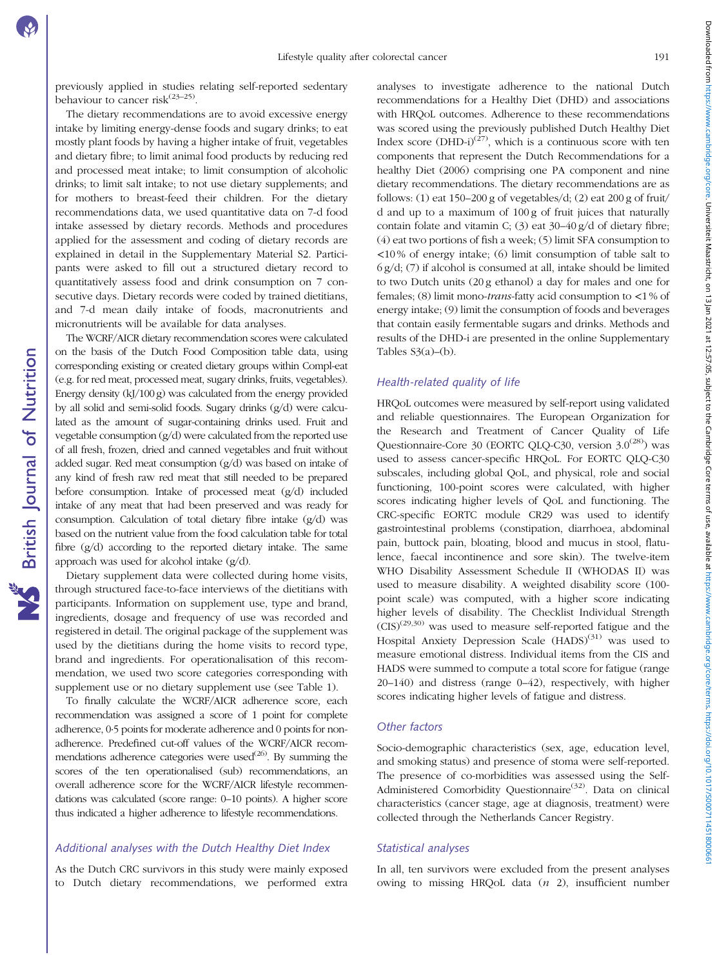previously applied in studies relating self-reported sedentary behaviour to cancer risk $(23-25)$  $(23-25)$  $(23-25)$  $(23-25)$ .

The dietary recommendations are to avoid excessive energy intake by limiting energy-dense foods and sugary drinks; to eat mostly plant foods by having a higher intake of fruit, vegetables and dietary fibre; to limit animal food products by reducing red and processed meat intake; to limit consumption of alcoholic drinks; to limit salt intake; to not use dietary supplements; and for mothers to breast-feed their children. For the dietary recommendations data, we used quantitative data on 7-d food intake assessed by dietary records. Methods and procedures applied for the assessment and coding of dietary records are explained in detail in the Supplementary Material S2. Participants were asked to fill out a structured dietary record to quantitatively assess food and drink consumption on 7 consecutive days. Dietary records were coded by trained dietitians, and 7-d mean daily intake of foods, macronutrients and micronutrients will be available for data analyses.

The WCRF/AICR dietary recommendation scores were calculated on the basis of the Dutch Food Composition table data, using corresponding existing or created dietary groups within Compl-eat (e.g. for red meat, processed meat, sugary drinks, fruits, vegetables). Energy density (kJ/100 g) was calculated from the energy provided by all solid and semi-solid foods. Sugary drinks (g/d) were calculated as the amount of sugar-containing drinks used. Fruit and vegetable consumption (g/d) were calculated from the reported use of all fresh, frozen, dried and canned vegetables and fruit without added sugar. Red meat consumption (g/d) was based on intake of any kind of fresh raw red meat that still needed to be prepared before consumption. Intake of processed meat (g/d) included intake of any meat that had been preserved and was ready for consumption. Calculation of total dietary fibre intake (g/d) was based on the nutrient value from the food calculation table for total fibre (g/d) according to the reported dietary intake. The same approach was used for alcohol intake (g/d).

**NS** British Journal of Nutrition

Dietary supplement data were collected during home visits, through structured face-to-face interviews of the dietitians with participants. Information on supplement use, type and brand, ingredients, dosage and frequency of use was recorded and registered in detail. The original package of the supplement was used by the dietitians during the home visits to record type, brand and ingredients. For operationalisation of this recommendation, we used two score categories corresponding with supplement use or no dietary supplement use (see [Table 1](#page-3-0)).

To finally calculate the WCRF/AICR adherence score, each recommendation was assigned a score of 1 point for complete adherence, 0·5 points for moderate adherence and 0 points for nonadherence. Predefined cut-off values of the WCRF/AICR recommendations adherence categories were used $(26)$  $(26)$ . By summing the scores of the ten operationalised (sub) recommendations, an overall adherence score for the WCRF/AICR lifestyle recommendations was calculated (score range: 0–10 points). A higher score thus indicated a higher adherence to lifestyle recommendations.

# Additional analyses with the Dutch Healthy Diet Index

As the Dutch CRC survivors in this study were mainly exposed to Dutch dietary recommendations, we performed extra analyses to investigate adherence to the national Dutch recommendations for a Healthy Diet (DHD) and associations with HRQoL outcomes. Adherence to these recommendations was scored using the previously published Dutch Healthy Diet Index score (DHD-i) $^{(27)}$  $^{(27)}$  $^{(27)}$ , which is a continuous score with ten components that represent the Dutch Recommendations for a healthy Diet (2006) comprising one PA component and nine dietary recommendations. The dietary recommendations are as follows: (1) eat 150–200 g of vegetables/d; (2) eat 200 g of fruit/ d and up to a maximum of 100 g of fruit juices that naturally contain folate and vitamin C; (3) eat 30–40 g/d of dietary fibre; (4) eat two portions of fish a week; (5) limit SFA consumption to <10 % of energy intake; (6) limit consumption of table salt to  $6 g/d$ ; (7) if alcohol is consumed at all, intake should be limited to two Dutch units (20 g ethanol) a day for males and one for females; (8) limit mono-trans-fatty acid consumption to <1 % of energy intake; (9) limit the consumption of foods and beverages that contain easily fermentable sugars and drinks. Methods and results of the DHD-i are presented in the online Supplementary Tables  $S3(a)$ –(b).

# Health-related quality of life

HRQoL outcomes were measured by self-report using validated and reliable questionnaires. The European Organization for the Research and Treatment of Cancer Quality of Life Questionnaire-Core 30 (EORTC QLQ-C30, version  $3.0^{(28)}$  $3.0^{(28)}$  $3.0^{(28)}$ ) was used to assess cancer-specific HRQoL. For EORTC QLQ-C30 subscales, including global QoL, and physical, role and social functioning, 100-point scores were calculated, with higher scores indicating higher levels of QoL and functioning. The CRC-specific EORTC module CR29 was used to identify gastrointestinal problems (constipation, diarrhoea, abdominal pain, buttock pain, bloating, blood and mucus in stool, flatulence, faecal incontinence and sore skin). The twelve-item WHO Disability Assessment Schedule II (WHODAS II) was used to measure disability. A weighted disability score (100 point scale) was computed, with a higher score indicating higher levels of disability. The Checklist Individual Strength  $(CIS)^{(29,30)}$  $(CIS)^{(29,30)}$  $(CIS)^{(29,30)}$  was used to measure self-reported fatigue and the Hospital Anxiety Depression Scale  $(HADS)^{(31)}$  $(HADS)^{(31)}$  $(HADS)^{(31)}$  was used to measure emotional distress. Individual items from the CIS and HADS were summed to compute a total score for fatigue (range 20–140) and distress (range 0–42), respectively, with higher scores indicating higher levels of fatigue and distress.

## Other factors

Socio-demographic characteristics (sex, age, education level, and smoking status) and presence of stoma were self-reported. The presence of co-morbidities was assessed using the Self-Administered Comorbidity Questionnaire<sup>[\(32\)](#page-10-0)</sup>. Data on clinical characteristics (cancer stage, age at diagnosis, treatment) were collected through the Netherlands Cancer Registry.

#### Statistical analyses

In all, ten survivors were excluded from the present analyses owing to missing HRQoL data (n 2), insufficient number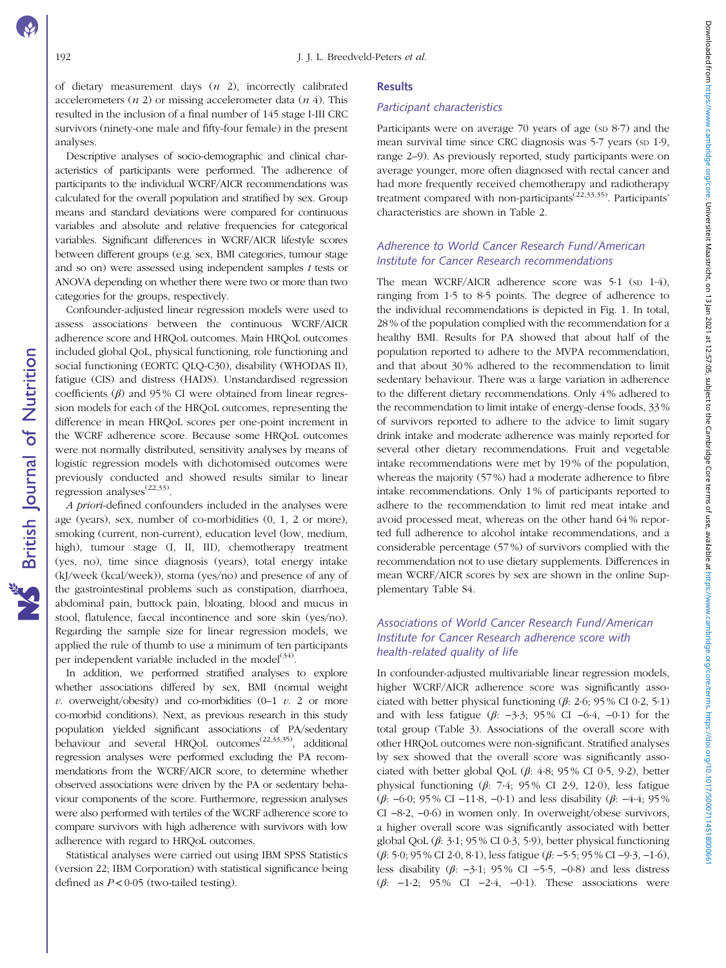**NS** British Journal of Nutrition

of dietary measurement days  $(n \ 2)$ , incorrectly calibrated accelerometers  $(n 2)$  or missing accelerometer data  $(n 4)$ . This resulted in the inclusion of a final number of 145 stage I-III CRC survivors (ninety-one male and fifty-four female) in the present analyses.

Descriptive analyses of socio-demographic and clinical characteristics of participants were performed. The adherence of participants to the individual WCRF/AICR recommendations was calculated for the overall population and stratified by sex. Group means and standard deviations were compared for continuous variables and absolute and relative frequencies for categorical variables. Significant differences in WCRF/AICR lifestyle scores between different groups (e.g. sex, BMI categories, tumour stage and so on) were assessed using independent samples  $t$  tests or ANOVA depending on whether there were two or more than two categories for the groups, respectively.

Confounder-adjusted linear regression models were used to assess associations between the continuous WCRF/AICR adherence score and HRQoL outcomes. Main HRQoL outcomes included global QoL, physical functioning, role functioning and social functioning (EORTC QLQ-C30), disability (WHODAS II), fatigue (CIS) and distress (HADS). Unstandardised regression coefficients  $(\beta)$  and 95% CI were obtained from linear regression models for each of the HRQoL outcomes, representing the difference in mean HRQoL scores per one-point increment in the WCRF adherence score. Because some HRQoL outcomes were not normally distributed, sensitivity analyses by means of logistic regression models with dichotomised outcomes were previously conducted and showed results similar to linear regression analyses $^{(22,33)}$  $^{(22,33)}$  $^{(22,33)}$  $^{(22,33)}$  $^{(22,33)}$ .

A priori-defined confounders included in the analyses were age (years), sex, number of co-morbidities (0, 1, 2 or more), smoking (current, non-current), education level (low, medium, high), tumour stage (I, II, III), chemotherapy treatment (yes, no), time since diagnosis (years), total energy intake (kJ/week (kcal/week)), stoma (yes/no) and presence of any of the gastrointestinal problems such as constipation, diarrhoea, abdominal pain, buttock pain, bloating, blood and mucus in stool, flatulence, faecal incontinence and sore skin (yes/no). Regarding the sample size for linear regression models, we applied the rule of thumb to use a minimum of ten participants per independent variable included in the model $(34)$ .

In addition, we performed stratified analyses to explore whether associations differed by sex, BMI (normal weight  $v$ . overweight/obesity) and co-morbidities  $(0-1 \, v. \, 2 \, \text{or} \, \text{more})$ co-morbid conditions). Next, as previous research in this study population yielded significant associations of PA/sedentary behaviour and several HRQoL outcomes<sup>[\(22,33,35\)](#page-10-0)</sup>, additional regression analyses were performed excluding the PA recommendations from the WCRF/AICR score, to determine whether observed associations were driven by the PA or sedentary behaviour components of the score. Furthermore, regression analyses were also performed with tertiles of the WCRF adherence score to compare survivors with high adherence with survivors with low adherence with regard to HRQoL outcomes.

Statistical analyses were carried out using IBM SPSS Statistics (version 22; IBM Corporation) with statistical significance being defined as  $P < 0.05$  (two-tailed testing).

#### **Results**

# Participant characteristics

Participants were on average  $70$  years of age (sp  $8\cdot 7$ ) and the mean survival time since CRC diagnosis was 5.7 years (sp 1.9, range 2–9). As previously reported, study participants were on average younger, more often diagnosed with rectal cancer and had more frequently received chemotherapy and radiotherapy treatment compared with non-participants<sup>([22,33,35](#page-10-0))</sup>. Participants' characteristics are shown in [Table 2.](#page-6-0)

# Adherence to World Cancer Research Fund/American Institute for Cancer Research recommendations

The mean WCRF/AICR adherence score was 5.1 (sp 1.4), ranging from 1·5 to 8·5 points. The degree of adherence to the individual recommendations is depicted in [Fig. 1](#page-7-0). In total, 28 % of the population complied with the recommendation for a healthy BMI. Results for PA showed that about half of the population reported to adhere to the MVPA recommendation, and that about 30 % adhered to the recommendation to limit sedentary behaviour. There was a large variation in adherence to the different dietary recommendations. Only 4 % adhered to the recommendation to limit intake of energy-dense foods, 33 % of survivors reported to adhere to the advice to limit sugary drink intake and moderate adherence was mainly reported for several other dietary recommendations. Fruit and vegetable intake recommendations were met by 19 % of the population, whereas the majority (57 %) had a moderate adherence to fibre intake recommendations. Only 1 % of participants reported to adhere to the recommendation to limit red meat intake and avoid processed meat, whereas on the other hand 64 % reported full adherence to alcohol intake recommendations, and a considerable percentage (57 %) of survivors complied with the recommendation not to use dietary supplements. Differences in mean WCRF/AICR scores by sex are shown in the online Supplementary Table S4.

# Associations of World Cancer Research Fund/American Institute for Cancer Research adherence score with health-related quality of life

In confounder-adjusted multivariable linear regression models, higher WCRF/AICR adherence score was significantly associated with better physical functioning ( $\beta$ : 2·6; 95 % CI 0·2, 5·1) and with less fatigue ( $\beta$ : -3·3; 95% CI -6·4, -0·1) for the total group [\(Table 3\)](#page-8-0). Associations of the overall score with other HRQoL outcomes were non-significant. Stratified analyses by sex showed that the overall score was significantly associated with better global QoL  $(\beta: 4.8; 95\% \text{ CI } 0.5, 9.2)$ , better physical functioning ( $β$ : 7·4; 95% CI 2·9, 12·0), less fatigue (β: −6·0; 95 % CI −11·8, −0·1) and less disability (β: −4·4; 95 % CI −8·2, −0·6) in women only. In overweight/obese survivors, a higher overall score was significantly associated with better global QoL  $(\beta: 3.1; 95\% \text{ CI } 0.3, 5.9)$ , better physical functioning (β: 5·0; 95 % CI 2·0, 8·1), less fatigue (β: −5·5; 95 % CI −9·3, −1·6), less disability ( $β$ : −3·1; 95% CI −5·5, −0·8) and less distress ( $\beta$ : -1·2; 95% CI -2·4, -0·1). These associations were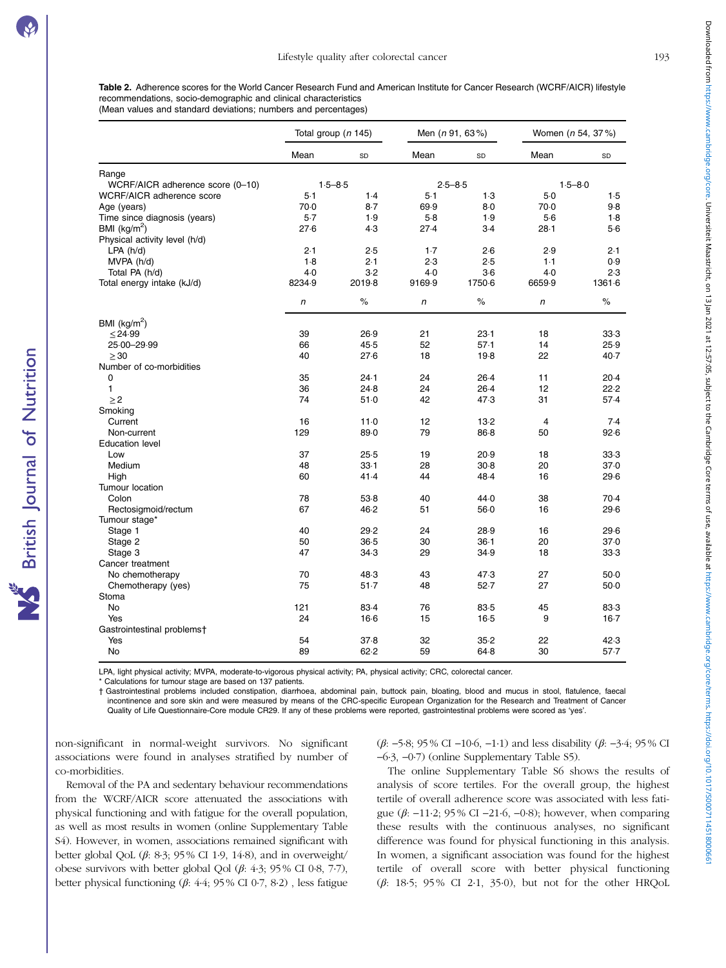<span id="page-6-0"></span>Table 2. Adherence scores for the World Cancer Research Fund and American Institute for Cancer Research (WCRF/AICR) lifestyle recommendations, socio-demographic and clinical characteristics (Mean values and standard deviations; numbers and percentages)

|                                  |        | Total group $(n 145)$ |            | Men $(n 91, 63%)$ |          | Women (n 54, 37%) |
|----------------------------------|--------|-----------------------|------------|-------------------|----------|-------------------|
|                                  | Mean   | SD                    | Mean       | SD                | Mean     | SD                |
| Range                            |        |                       |            |                   |          |                   |
| WCRF/AICR adherence score (0-10) |        | $1.5 - 8.5$           |            | $2.5 - 8.5$       |          | $1.5 - 8.0$       |
| WCRF/AICR adherence score        | $5-1$  | 1.4                   | 5.1        | 1.3               | 5.0      | 1.5               |
| Age (years)                      | 70.0   | 8.7                   | 69.9       | $8-0$             | 70.0     | 9.8               |
| Time since diagnosis (years)     | $5-7$  | 1.9                   | $5-8$      | 1.9               | $5-6$    | 1.8               |
| BMI ( $kg/m2$ )                  | 27.6   | 4.3                   | 27.4       | 3.4               | $28 - 1$ | 5.6               |
| Physical activity level (h/d)    |        |                       |            |                   |          |                   |
| LPA(h/d)                         | 2.1    | 2.5                   | $1-7$      | 2.6               | 2.9      | 2.1               |
| MVPA (h/d)                       | $1-8$  | 2.1                   | 2.3        | 2.5               | $1-1$    | 0.9               |
| Total PA (h/d)                   | 4.0    | 3.2                   | $4-0$      | $3-6$             | 4.0      | 2.3               |
| Total energy intake (kJ/d)       | 8234.9 | 2019-8                | 9169.9     | 1750.6            | 6659.9   | 1361.6            |
|                                  | n      | $\%$                  | $\sqrt{n}$ | $\%$              | n        | $\%$              |
| BMI $(kg/m2)$                    |        |                       |            |                   |          |                   |
| $\leq$ 24.99                     | 39     | 26.9                  | 21         | $23-1$            | 18       | 33.3              |
| 25-00-29-99                      | 66     | 45.5                  | 52         | 57.1              | 14       | 25.9              |
| > 30                             | 40     | 27.6                  | 18         | 19.8              | 22       | 40.7              |
| Number of co-morbidities         |        |                       |            |                   |          |                   |
| 0                                | 35     | 24.1                  | 24         | $26-4$            | 11       | 20.4              |
| 1                                | 36     | 24.8                  | 24         | $26-4$            | 12       | 22.2              |
| $\geq$ 2                         | 74     | $51-0$                | 42         | 47.3              | 31       | 57.4              |
| Smoking                          |        |                       |            |                   |          |                   |
| Current                          | 16     | 11.0                  | 12         | 13.2              | 4        | 7.4               |
| Non-current                      | 129    | 89.0                  | 79         | 86.8              | 50       | 92.6              |
| <b>Education level</b>           |        |                       |            |                   |          |                   |
| Low                              | 37     | 25.5                  | 19         | 20.9              | 18       | 33.3              |
| Medium                           | 48     | $33-1$                | 28         | $30-8$            | 20       | 37.0              |
| High                             | 60     | 41.4                  | 44         | 48.4              | 16       | 29.6              |
| Tumour location                  |        |                       |            |                   |          |                   |
| Colon                            | 78     | 53.8                  | 40         | 44.0              | 38       | $70-4$            |
| Rectosigmoid/rectum              | 67     | 46.2                  | 51         | 56.0              | 16       | 29.6              |
| Tumour stage*                    |        |                       |            |                   |          |                   |
| Stage 1                          | 40     | 29.2                  | 24         | 28.9              | 16       | $29-6$            |
| Stage 2                          | 50     | $36-5$                | 30         | $36-1$            | 20       | 37.0              |
| Stage 3                          | 47     | 34.3                  | 29         | 34.9              | 18       | 33.3              |
| Cancer treatment                 |        |                       |            |                   |          |                   |
| No chemotherapy                  | 70     | 48.3                  | 43         | 47.3              | 27       | 50.0              |
| Chemotherapy (yes)               | 75     | $51-7$                | 48         | 52.7              | 27       | 50.0              |
| Stoma                            |        |                       |            |                   |          |                   |
| <b>No</b>                        | 121    | 83.4                  | 76         | 83-5              | 45       | 83.3              |
| Yes                              | 24     | $16-6$                | 15         | $16-5$            | 9        | $16 - 7$          |
| Gastrointestinal problems†       |        |                       |            |                   |          |                   |
| Yes                              | 54     | 37.8                  | 32         | 35.2              | 22       | 42.3              |
| <b>No</b>                        | 89     | 62.2                  | 59         | 64.8              | 30       | 57.7              |

LPA, light physical activity; MVPA, moderate-to-vigorous physical activity; PA, physical activity; CRC, colorectal cancer.

\* Calculations for tumour stage are based on 137 patients.

† Gastrointestinal problems included constipation, diarrhoea, abdominal pain, buttock pain, bloating, blood and mucus in stool, flatulence, faecal incontinence and sore skin and were measured by means of the CRC-specific European Organization for the Research and Treatment of Cancer Quality of Life Questionnaire-Core module CR29. If any of these problems were reported, gastrointestinal problems were scored as 'yes'.

non-significant in normal-weight survivors. No significant associations were found in analyses stratified by number of co-morbidities.

Removal of the PA and sedentary behaviour recommendations from the WCRF/AICR score attenuated the associations with physical functioning and with fatigue for the overall population, as well as most results in women (online Supplementary Table S4). However, in women, associations remained significant with better global QoL  $(\beta: 8.3; 95\% \text{ CI } 1.9, 14.8)$ , and in overweight/ obese survivors with better global Qol  $(\beta: 4.3; 95\% \text{ CI } 0.8, 7.7)$ , better physical functioning  $(\beta: 4.4; 95\% \text{ CI } 0.7, 8.2)$ , less fatigue (β: −5·8; 95 % CI −10·6, −1·1) and less disability (β: −3·4; 95 % CI −6·3, −0·7) (online Supplementary Table S5).

The online Supplementary Table S6 shows the results of analysis of score tertiles. For the overall group, the highest tertile of overall adherence score was associated with less fatigue ( $\beta$ : −11·2; 95 % CI −21·6, −0·8); however, when comparing these results with the continuous analyses, no significant difference was found for physical functioning in this analysis. In women, a significant association was found for the highest tertile of overall score with better physical functioning (β: 18·5; 95 % CI 2·1, 35·0), but not for the other HRQoL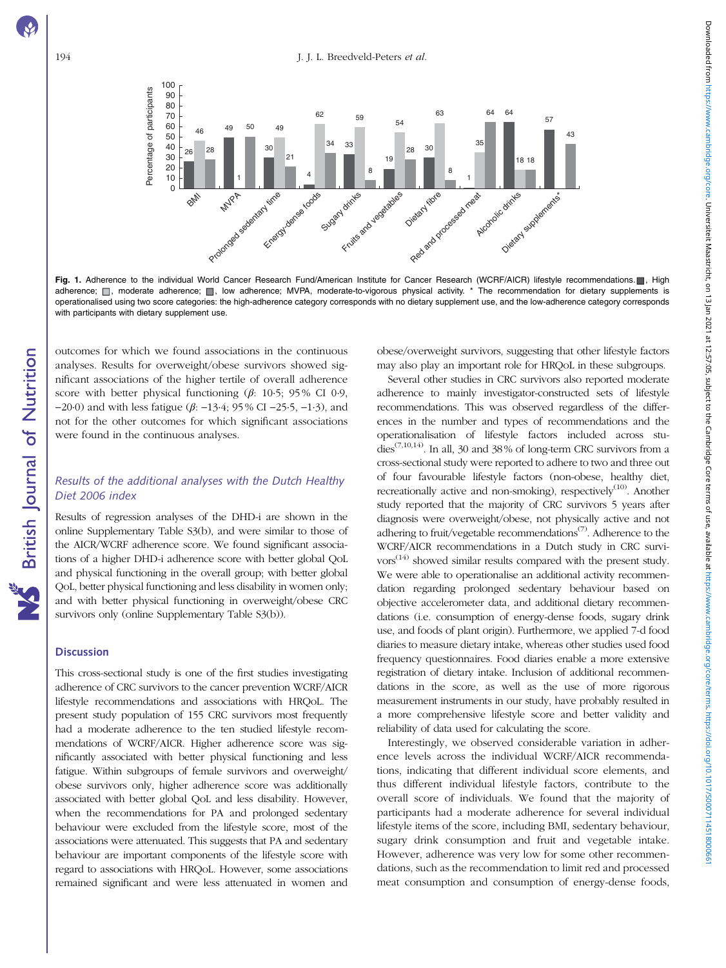#### <span id="page-7-0"></span>194 J. J. L. Breedveld-Peters *et al.*



Fig. 1. Adherence to the individual World Cancer Research Fund/American Institute for Cancer Research (WCRF/AICR) lifestyle recommendations. , High adherence;  $\Box$ , moderate adherence;  $\Box$ , low adherence; MVPA, moderate-to-vigorous physical activity. \* The recommendation for dietary supplements is operationalised using two score categories: the high-adherence category corresponds with no dietary supplement use, and the low-adherence category corresponds with participants with dietary supplement use.

outcomes for which we found associations in the continuous analyses. Results for overweight/obese survivors showed significant associations of the higher tertile of overall adherence score with better physical functioning ( $\beta$ : 10.5; 95% CI 0.9, −20·0) and with less fatigue (β: −13·4; 95 % CI −25·5, −1·3), and not for the other outcomes for which significant associations were found in the continuous analyses.

# Results of the additional analyses with the Dutch Healthy Diet 2006 index

Results of regression analyses of the DHD-i are shown in the online Supplementary Table S3(b), and were similar to those of the AICR/WCRF adherence score. We found significant associations of a higher DHD-i adherence score with better global QoL and physical functioning in the overall group; with better global QoL, better physical functioning and less disability in women only; and with better physical functioning in overweight/obese CRC survivors only (online Supplementary Table S3(b)).

# **Discussion**

This cross-sectional study is one of the first studies investigating adherence of CRC survivors to the cancer prevention WCRF/AICR lifestyle recommendations and associations with HRQoL. The present study population of 155 CRC survivors most frequently had a moderate adherence to the ten studied lifestyle recommendations of WCRF/AICR. Higher adherence score was significantly associated with better physical functioning and less fatigue. Within subgroups of female survivors and overweight/ obese survivors only, higher adherence score was additionally associated with better global QoL and less disability. However, when the recommendations for PA and prolonged sedentary behaviour were excluded from the lifestyle score, most of the associations were attenuated. This suggests that PA and sedentary behaviour are important components of the lifestyle score with regard to associations with HRQoL. However, some associations remained significant and were less attenuated in women and

obese/overweight survivors, suggesting that other lifestyle factors may also play an important role for HRQoL in these subgroups.

Several other studies in CRC survivors also reported moderate adherence to mainly investigator-constructed sets of lifestyle recommendations. This was observed regardless of the differences in the number and types of recommendations and the operationalisation of lifestyle factors included across studies<sup> $(7,10,14)$  $(7,10,14)$  $(7,10,14)$  $(7,10,14)$ </sup>. In all, 30 and 38% of long-term CRC survivors from a cross-sectional study were reported to adhere to two and three out of four favourable lifestyle factors (non-obese, healthy diet, recreationally active and non-smoking), respectively<sup>([10](#page-9-0))</sup>. Another study reported that the majority of CRC survivors 5 years after diagnosis were overweight/obese, not physically active and not adhering to fruit/vegetable recommendations<sup> $(7)$ </sup>. Adherence to the WCRF/AICR recommendations in a Dutch study in CRC survi- $vors<sup>(14)</sup>$  $vors<sup>(14)</sup>$  $vors<sup>(14)</sup>$  showed similar results compared with the present study. We were able to operationalise an additional activity recommendation regarding prolonged sedentary behaviour based on objective accelerometer data, and additional dietary recommendations (i.e. consumption of energy-dense foods, sugary drink use, and foods of plant origin). Furthermore, we applied 7-d food diaries to measure dietary intake, whereas other studies used food frequency questionnaires. Food diaries enable a more extensive registration of dietary intake. Inclusion of additional recommendations in the score, as well as the use of more rigorous measurement instruments in our study, have probably resulted in a more comprehensive lifestyle score and better validity and reliability of data used for calculating the score.

Interestingly, we observed considerable variation in adherence levels across the individual WCRF/AICR recommendations, indicating that different individual score elements, and thus different individual lifestyle factors, contribute to the overall score of individuals. We found that the majority of participants had a moderate adherence for several individual lifestyle items of the score, including BMI, sedentary behaviour, sugary drink consumption and fruit and vegetable intake. However, adherence was very low for some other recommendations, such as the recommendation to limit red and processed meat consumption and consumption of energy-dense foods,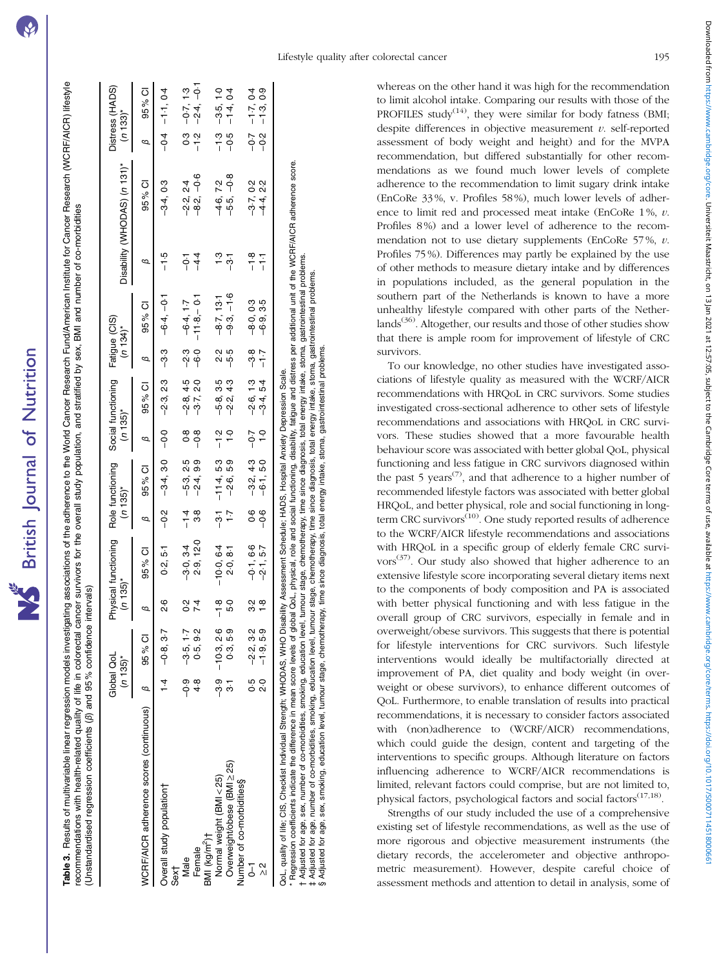| į                              |  |
|--------------------------------|--|
| 5<br>ة                         |  |
| <b>IRUJIIIC</b><br>j           |  |
| $\frac{1}{2}$<br><b>Britis</b> |  |
|                                |  |

뫻

 $\sum$ 

<span id="page-8-0"></span>regression models investigating associations of the adherence to the World Cancer Research Fund/American Institute for Cancer Research (WCRF/AICR) lifestyle Results of multivariable linear regression models investigating associations of the adherence to the World Cancer Research Fund/American Institute for Cancer Research (WCRF/AICR) lifestyle recommendations with health-related quality of life in colorectal cancer survivors for the overall study population, and stratified by sex, BMI and number of co-morbidities recommendations with health-related quality of life in colorectal cancer survivors for the overall study population, and stratified by sex, BMI and number of co-morbidities (Unstandardised regression coefficients (β) and 95 % confidence intervals) Unstandardised regression coefficients ( $\beta$ ) and 95 % confidence intervals Results of multivariable linear Table 3.

|                                                                                                                                                                                                                                                                                                                                                             | Global QoL | $(n + 135)^*$       | $(n + 35)^*$ | Physical functioning       | $(n + 135)^*$ | Role functioning                   | $(n + 135)^*$             | Social functioning              | $(n 134)^{*}$   | Fatigue (CIS)                                               |                    | "(131) (CAGDHVODAS) (131) | Distress (HADS)<br>$(n 133)^*$             |
|-------------------------------------------------------------------------------------------------------------------------------------------------------------------------------------------------------------------------------------------------------------------------------------------------------------------------------------------------------------|------------|---------------------|--------------|----------------------------|---------------|------------------------------------|---------------------------|---------------------------------|-----------------|-------------------------------------------------------------|--------------------|---------------------------|--------------------------------------------|
| NCRF/AICR adherence scores (continuous) $\beta$ 95% CI                                                                                                                                                                                                                                                                                                      |            |                     | ∞            | 95% CI                     | B             | 95% CI                             | $\omega$                  | 95% CI                          | ⊴               | 95% CI                                                      | ∾                  | 95% CI                    | 95 % CI<br>Q                               |
| Overall study population<br>Sex†                                                                                                                                                                                                                                                                                                                            |            | $1.4 - 0.8, 3.7$    | 9.6          | 0.2, 5.1                   |               |                                    |                           |                                 |                 | $-0.2$ $-3.4$ , $3.2$ , $3.6$ , $-0.0$ $-0.0$ $-0.0$ $-0.0$ | $-1.5$             | $-3.4, 0.3$               | $-0.4$ $-1.1, 0.4$                         |
| Male                                                                                                                                                                                                                                                                                                                                                        | စ်-)       | $-3.5, 1.7$         | 0 4<br>0 4   | $-3.0, 3.4$<br>2.9, 12.0   | − မ<br>4 ဆိ   | – 5.3, 9.9<br>– 2.4, 9.9<br>– 2.4, | 0.8<br>$-0.8$             | –2.8, 4.5<br>–3.7, 2.0<br>–3.7, | ကို ဝ<br>လူ ပုံ | $-11.8 - 0.1$<br>$-6.4, 1.7$                                | $-4.4$<br>$-6 - 1$ | $-2.2, 2.4$               | $-0.7, 1.3$<br>$-2.4, -0.1$<br>ာ<br>$-1.2$ |
| BMI ( $kg/m2$ )†<br>Female                                                                                                                                                                                                                                                                                                                                  |            | 0.5, 9.2            |              |                            |               |                                    |                           |                                 |                 |                                                             |                    | $-8.2, -0.6$              |                                            |
| Normal weight (BMI<25)                                                                                                                                                                                                                                                                                                                                      |            | $-3.9 - 10.3$ , 2.6 | م.<br>⊤      | $-10.0, 6.4$               | က်<br>ကိ      | $-11.4, 5.3$                       | $rac{1}{1}$ + $rac{1}{1}$ | $-5.8, 3.5$                     | 2.5             | $-8.7, 13.1$                                                | ن<br>ب             | $-4.6, 7.2$               | $-3.5, 1.0$                                |
| Overweight/obese (BMI ≥ 25)<br>Number of co-morbidities§                                                                                                                                                                                                                                                                                                    |            | 0.3, 5.9            | 5.0          | 2.0, 8.1                   | $\ddot{ }$ :7 | $-2.6, 5.9$                        |                           | $-2.2, 4.3$                     | -5.5            | $-9.3,-1.6$                                                 | بة<br>-            | $-5.5, -0.8$              | $-1.4, 0.4$                                |
| J                                                                                                                                                                                                                                                                                                                                                           | မိ         | $-2.2, 3.2$         |              |                            | $\frac{6}{1}$ |                                    | $-0.7$                    |                                 | -38             | $-8.0, 0.3$                                                 |                    | $-3.7, 0.2$               |                                            |
|                                                                                                                                                                                                                                                                                                                                                             | Ο.<br>Ω    | $-1.9, 5.9$         | လ္က<br>က်—   | $-0.1, 6.6$<br>$-2.1, 5.7$ | $-0.6$        | $-3.2, 4.3$<br>$-6.1, 5.0$         | $\ddot{ }$ .              | $-2.6, 1.3$<br>$-3.4, 5.4$      | $-1.7$          | $-6.9, 3.5$                                                 | $\frac{1}{1}$ .    | $-4.4, 2.2$               | $-1.7$ , 0.4<br>-1.3, 0.9<br>r a<br>9 9    |
| * Berression coefficients indicate the difference in mean score levels of dighel only chicked related to discussion distributed and distress per additional unit of the MCBF/AICB adherence score<br>QoL, quality of life; CIS, Checklist Individual Strength; WHODAS, WHODAS, WHOD isability Assessment Schedule; HADS, Hospital Anxiety Depression Scale. |            |                     |              |                            |               |                                    |                           |                                 |                 |                                                             |                    |                           |                                            |

\* Regression coefficients indicate the difference in mean score levels of global QoL, physical, role and social functioning, disability, fatigue and distress per additional unit of the WCRF/AICR adherence score. time since diagnosis, total energy intake, stoma, gastrointestinal problems. Adjusted for age, sex, number of co-morbidities, smoking, education level, tumour stage, chemotherapy, time since diagnosis, total energy intake, stoma, gastrointestinal problems. Adjusted for age, number of co-morbidities, smoking, education level, tumour stage, chemotherapy, time since diagnosis, total energy intake, stoma, gastrointestinal problems.<br>Adjusted for age, sex, smoking, education level Adjusted for age, number of co-morbidities, smoking, education level, tumour stage, chemotherapy, time since diagnosis, total energy intake, stoma, gastrointestinal problems. education level, tumour stage, chemotherapy, Adjusted for age, sex, number of co-morbidities, smoking,

§ Adjusted for age, sex, smoking, education level, tumour stage, chemotherapy, time since diagnosis, total energy intake, stoma, gastrointestinal problems.

 $^+$ 

‡

whereas on the other hand it was high for the recommendation to limit alcohol intake. Comparing our results with those of the PROFILES study<sup>([14\)](#page-10-0)</sup>, they were similar for body fatness (BMI; despite differences in objective measurement  $v$ . self-reported assessment of body weight and height) and for the MVPA recommendation, but differed substantially for other recommendations as we found much lower levels of complete adherence to the recommendation to limit sugary drink intake (EnCoRe 33 %, v. Profiles 58 %), much lower levels of adherence to limit red and processed meat intake (EnCoRe 1%, v. Profiles 8 %) and a lower level of adherence to the recommendation not to use dietary supplements (EnCoRe 57%,  $v$ . Profiles 75 %). Differences may partly be explained by the use of other methods to measure dietary intake and by differences in populations included, as the general population in the southern part of the Netherlands is known to have a more unhealthy lifestyle compared with other parts of the Netherlands<sup> $(36)$  $(36)$  $(36)$ </sup>. Altogether, our results and those of other studies show that there is ample room for improvement of lifestyle of CRC survivors.

To our knowledge, no other studies have investigated associations of lifestyle quality as measured with the WCRF/AICR recommendations with HRQoL in CRC survivors. Some studies investigated cross-sectional adherence to other sets of lifestyle recommendations and associations with HRQoL in CRC survivors. These studies showed that a more favourable health behaviour score was associated with better global QoL, physical functioning and less fatigue in CRC survivors diagnosed within the past 5 years<sup> $(7)$ </sup>, and that adherence to a higher number of recommended lifestyle factors was associated with better global HRQoL, and better physical, role and social functioning in long-term CRC survivors<sup>([10\)](#page-9-0)</sup>. One study reported results of adherence to the WCRF/AICR lifestyle recommendations and associations with HRQoL in a specific group of elderly female CRC survi-vors<sup>([37](#page-10-0))</sup>. Our study also showed that higher adherence to an extensive lifestyle score incorporating several dietary items next to the components of body composition and PA is associated with better physical functioning and with less fatigue in the overall group of CRC survivors, especially in female and in overweight/obese survivors. This suggests that there is potential for lifestyle interventions for CRC survivors. Such lifestyle interventions would ideally be multifactorially directed at improvement of PA, diet quality and body weight (in overweight or obese survivors), to enhance different outcomes of QoL. Furthermore, to enable translation of results into practical recommendations, it is necessary to consider factors associated with (non)adherence to (WCRF/AICR) recommendations, which could guide the design, content and targeting of the interventions to specific groups. Although literature on factors influencing adherence to WCRF/AICR recommendations is limited, relevant factors could comprise, but are not limited to, physical factors, psychological factors and social factors<sup>[\(17,18](#page-10-0))</sup>.

Strengths of our study included the use of a comprehensive existing set of lifestyle recommendations, as well as the use of more rigorous and objective measurement instruments (the dietary records, the accelerometer and objective anthropometric measurement). However, despite careful choice of assessment methods and attention to detail in analysis, some of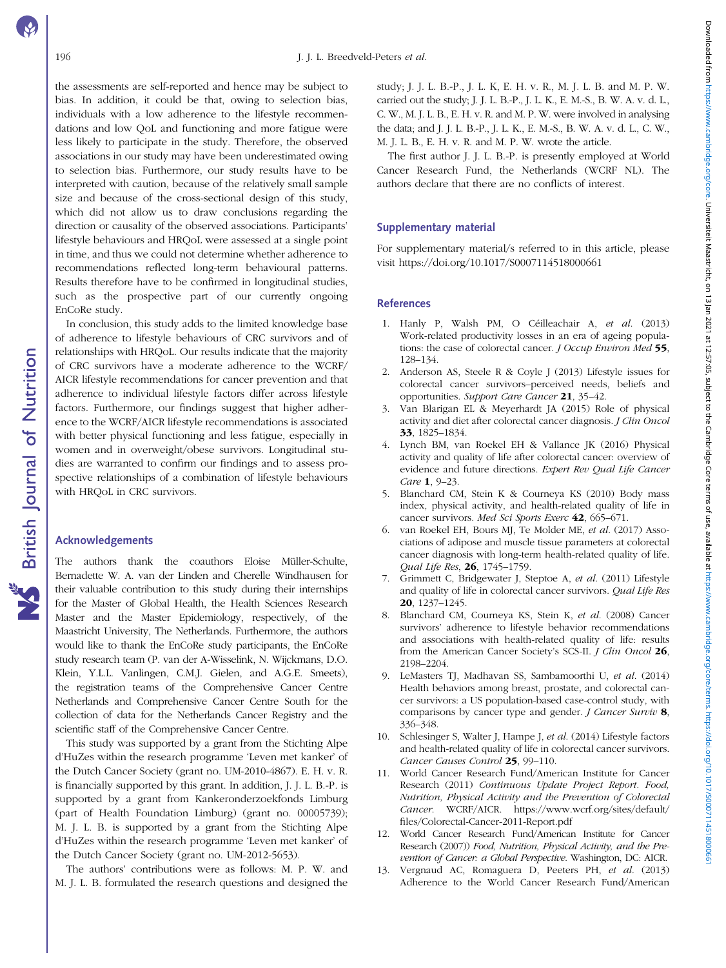<span id="page-9-0"></span>the assessments are self-reported and hence may be subject to bias. In addition, it could be that, owing to selection bias, individuals with a low adherence to the lifestyle recommendations and low QoL and functioning and more fatigue were less likely to participate in the study. Therefore, the observed associations in our study may have been underestimated owing to selection bias. Furthermore, our study results have to be interpreted with caution, because of the relatively small sample size and because of the cross-sectional design of this study, which did not allow us to draw conclusions regarding the direction or causality of the observed associations. Participants' lifestyle behaviours and HRQoL were assessed at a single point in time, and thus we could not determine whether adherence to recommendations reflected long-term behavioural patterns. Results therefore have to be confirmed in longitudinal studies, such as the prospective part of our currently ongoing EnCoRe study.

In conclusion, this study adds to the limited knowledge base of adherence to lifestyle behaviours of CRC survivors and of relationships with HRQoL. Our results indicate that the majority of CRC survivors have a moderate adherence to the WCRF/ AICR lifestyle recommendations for cancer prevention and that adherence to individual lifestyle factors differ across lifestyle factors. Furthermore, our findings suggest that higher adherence to the WCRF/AICR lifestyle recommendations is associated with better physical functioning and less fatigue, especially in women and in overweight/obese survivors. Longitudinal studies are warranted to confirm our findings and to assess prospective relationships of a combination of lifestyle behaviours with HRQoL in CRC survivors.

# Acknowledgements

NS British Journal of Nutrition

The authors thank the coauthors Eloise Müller-Schulte, Bernadette W. A. van der Linden and Cherelle Windhausen for their valuable contribution to this study during their internships for the Master of Global Health, the Health Sciences Research Master and the Master Epidemiology, respectively, of the Maastricht University, The Netherlands. Furthermore, the authors would like to thank the EnCoRe study participants, the EnCoRe study research team (P. van der A-Wisselink, N. Wijckmans, D.O. Klein, Y.L.L. Vanlingen, C.M.J. Gielen, and A.G.E. Smeets), the registration teams of the Comprehensive Cancer Centre Netherlands and Comprehensive Cancer Centre South for the collection of data for the Netherlands Cancer Registry and the scientific staff of the Comprehensive Cancer Centre.

This study was supported by a grant from the Stichting Alpe d'HuZes within the research programme 'Leven met kanker' of the Dutch Cancer Society (grant no. UM-2010-4867). E. H. v. R. is financially supported by this grant. In addition, J. J. L. B.-P. is supported by a grant from Kankeronderzoekfonds Limburg (part of Health Foundation Limburg) (grant no. 00005739); M. J. L. B. is supported by a grant from the Stichting Alpe d'HuZes within the research programme 'Leven met kanker' of the Dutch Cancer Society (grant no. UM-2012-5653).

The authors' contributions were as follows: M. P. W. and M. J. L. B. formulated the research questions and designed the

study; J. J. L. B.-P., J. L. K, E. H. v. R., M. J. L. B. and M. P. W. carried out the study; J. J. L. B.-P., J. L. K., E. M.-S., B. W. A. v. d. L., C. W., M. J. L. B., E. H. v. R. and M. P. W. were involved in analysing the data; and J. J. L. B.-P., J. L. K., E. M.-S., B. W. A. v. d. L., C. W., M. J. L. B., E. H. v. R. and M. P. W. wrote the article.

The first author J. J. L. B.-P. is presently employed at World Cancer Research Fund, the Netherlands (WCRF NL). The authors declare that there are no conflicts of interest.

#### Supplementary material

For supplementary material/s referred to in this article, please visit https://doi.org/10.1017/S0007114518000661

### References

- 1. Hanly P, Walsh PM, O Céilleachair A, et al. (2013) Work-related productivity losses in an era of ageing populations: the case of colorectal cancer. J Occup Environ Med 55, 128–134.
- 2. Anderson AS, Steele R & Coyle J (2013) Lifestyle issues for colorectal cancer survivors–perceived needs, beliefs and opportunities. Support Care Cancer 21, 35–42.
- 3. Van Blarigan EL & Meyerhardt JA (2015) Role of physical activity and diet after colorectal cancer diagnosis. J Clin Oncol 33, 1825–1834.
- 4. Lynch BM, van Roekel EH & Vallance JK (2016) Physical activity and quality of life after colorectal cancer: overview of evidence and future directions. Expert Rev Qual Life Cancer Care 1, 9–23.
- 5. Blanchard CM, Stein K & Courneya KS (2010) Body mass index, physical activity, and health-related quality of life in cancer survivors. Med Sci Sports Exerc 42, 665–671.
- 6. van Roekel EH, Bours MJ, Te Molder ME, et al. (2017) Associations of adipose and muscle tissue parameters at colorectal cancer diagnosis with long-term health-related quality of life. Qual Life Res, 26, 1745–1759.
- 7. Grimmett C, Bridgewater J, Steptoe A, et al. (2011) Lifestyle and quality of life in colorectal cancer survivors. Qual Life Res 20, 1237–1245.
- 8. Blanchard CM, Courneya KS, Stein K, et al. (2008) Cancer survivors' adherence to lifestyle behavior recommendations and associations with health-related quality of life: results from the American Cancer Society's SCS-II. J Clin Oncol 26, 2198–2204.
- 9. LeMasters TJ, Madhavan SS, Sambamoorthi U, et al. (2014) Health behaviors among breast, prostate, and colorectal cancer survivors: a US population-based case-control study, with comparisons by cancer type and gender. *J Cancer Surviv* 8, 336–348.
- 10. Schlesinger S, Walter J, Hampe J, et al. (2014) Lifestyle factors and health-related quality of life in colorectal cancer survivors. Cancer Causes Control 25, 99–110.
- 11. World Cancer Research Fund/American Institute for Cancer Research (2011) Continuous Update Project Report. Food, Nutrition, Physical Activity and the Prevention of Colorectal Cancer. WCRF/AICR. [https://www.wcrf.org/sites/default/](https://www.wcrf.org/sites/default/files/Colorectal-Cancer-2011-Report.pdf) fi[les/Colorectal-Cancer-2011-Report.pdf](https://www.wcrf.org/sites/default/files/Colorectal-Cancer-2011-Report.pdf)
- 12. World Cancer Research Fund/American Institute for Cancer Research (2007)) Food, Nutrition, Physical Activity, and the Prevention of Cancer: a Global Perspective. Washington, DC: AICR.
- 13. Vergnaud AC, Romaguera D, Peeters PH, et al. (2013) Adherence to the World Cancer Research Fund/American